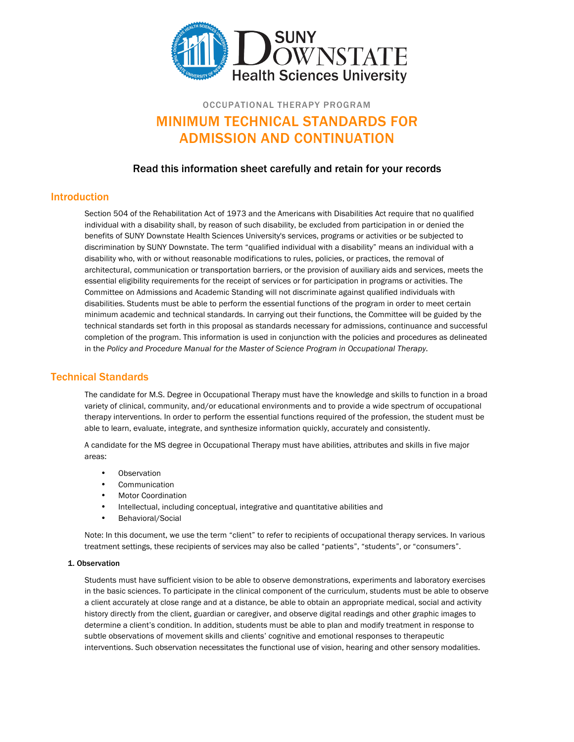

# OCCUPATIONAL THERAPY PROGRAM MINIMUM TECHNICAL STANDARDS FOR ADMISSION AND CONTINUATION

# Read this information sheet carefully and retain for your records

### Introduction

Section 504 of the Rehabilitation Act of 1973 and the Americans with Disabilities Act require that no qualified individual with a disability shall, by reason of such disability, be excluded from participation in or denied the benefits of SUNY Downstate Health Sciences University's services, programs or activities or be subjected to discrimination by SUNY Downstate. The term "qualified individual with a disability" means an individual with a disability who, with or without reasonable modifications to rules, policies, or practices, the removal of architectural, communication or transportation barriers, or the provision of auxiliary aids and services, meets the essential eligibility requirements for the receipt of services or for participation in programs or activities. The Committee on Admissions and Academic Standing will not discriminate against qualified individuals with disabilities. Students must be able to perform the essential functions of the program in order to meet certain minimum academic and technical standards. In carrying out their functions, the Committee will be guided by the technical standards set forth in this proposal as standards necessary for admissions, continuance and successful completion of the program. This information is used in conjunction with the policies and procedures as delineated in the *Policy and Procedure Manual for the Master of Science Program in Occupational Therapy.*

# Technical Standards

The candidate for M.S. Degree in Occupational Therapy must have the knowledge and skills to function in a broad variety of clinical, community, and/or educational environments and to provide a wide spectrum of occupational therapy interventions. In order to perform the essential functions required of the profession, the student must be able to learn, evaluate, integrate, and synthesize information quickly, accurately and consistently.

A candidate for the MS degree in Occupational Therapy must have abilities, attributes and skills in five major areas:

- Observation
- **Communication**
- Motor Coordination
- Intellectual, including conceptual, integrative and quantitative abilities and
- Behavioral/Social

Note: In this document, we use the term "client" to refer to recipients of occupational therapy services. In various treatment settings, these recipients of services may also be called "patients", "students", or "consumers".

#### 1. Observation

Students must have sufficient vision to be able to observe demonstrations, experiments and laboratory exercises in the basic sciences. To participate in the clinical component of the curriculum, students must be able to observe a client accurately at close range and at a distance, be able to obtain an appropriate medical, social and activity history directly from the client, guardian or caregiver, and observe digital readings and other graphic images to determine a client's condition. In addition, students must be able to plan and modify treatment in response to subtle observations of movement skills and clients' cognitive and emotional responses to therapeutic interventions. Such observation necessitates the functional use of vision, hearing and other sensory modalities.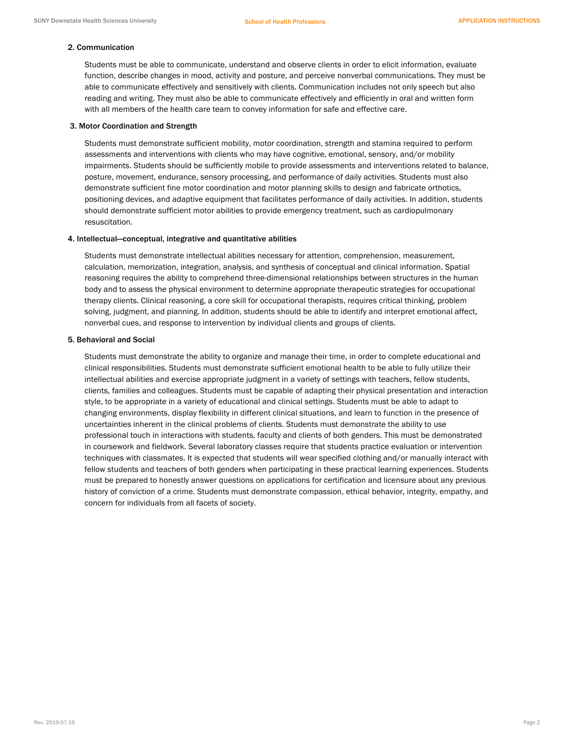#### 2. Communication

Students must be able to communicate, understand and observe clients in order to elicit information, evaluate function, describe changes in mood, activity and posture, and perceive nonverbal communications. They must be able to communicate effectively and sensitively with clients. Communication includes not only speech but also reading and writing. They must also be able to communicate effectively and efficiently in oral and written form with all members of the health care team to convey information for safe and effective care.

#### 3. Motor Coordination and Strength

Students must demonstrate sufficient mobility, motor coordination, strength and stamina required to perform assessments and interventions with clients who may have cognitive, emotional, sensory, and/or mobility impairments. Students should be sufficiently mobile to provide assessments and interventions related to balance, posture, movement, endurance, sensory processing, and performance of daily activities. Students must also demonstrate sufficient fine motor coordination and motor planning skills to design and fabricate orthotics, positioning devices, and adaptive equipment that facilitates performance of daily activities. In addition, students should demonstrate sufficient motor abilities to provide emergency treatment, such as cardiopulmonary resuscitation.

#### 4. Intellectual—conceptual, integrative and quantitative abilities

Students must demonstrate intellectual abilities necessary for attention, comprehension, measurement, calculation, memorization, integration, analysis, and synthesis of conceptual and clinical information. Spatial reasoning requires the ability to comprehend three-dimensional relationships between structures in the human body and to assess the physical environment to determine appropriate therapeutic strategies for occupational therapy clients. Clinical reasoning, a core skill for occupational therapists, requires critical thinking, problem solving, judgment, and planning. In addition, students should be able to identify and interpret emotional affect, nonverbal cues, and response to intervention by individual clients and groups of clients.

#### 5. Behavioral and Social

Students must demonstrate the ability to organize and manage their time, in order to complete educational and clinical responsibilities. Students must demonstrate sufficient emotional health to be able to fully utilize their intellectual abilities and exercise appropriate judgment in a variety of settings with teachers, fellow students, clients, families and colleagues. Students must be capable of adapting their physical presentation and interaction style, to be appropriate in a variety of educational and clinical settings. Students must be able to adapt to changing environments, display flexibility in different clinical situations, and learn to function in the presence of uncertainties inherent in the clinical problems of clients. Students must demonstrate the ability to use professional touch in interactions with students, faculty and clients of both genders. This must be demonstrated in coursework and fieldwork. Several laboratory classes require that students practice evaluation or intervention techniques with classmates. It is expected that students will wear specified clothing and/or manually interact with fellow students and teachers of both genders when participating in these practical learning experiences. Students must be prepared to honestly answer questions on applications for certification and licensure about any previous history of conviction of a crime. Students must demonstrate compassion, ethical behavior, integrity, empathy, and concern for individuals from all facets of society.